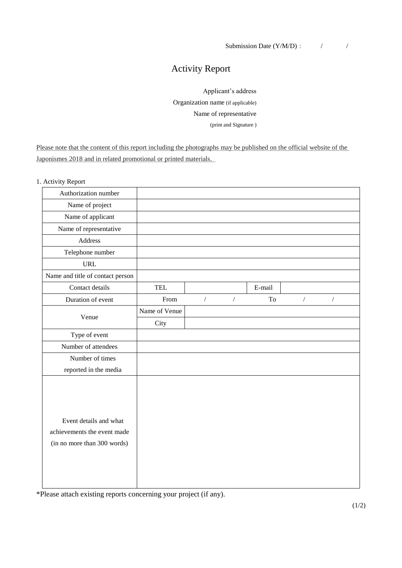## Activity Report

Applicant's address Organization name (if applicable) Name of representative (print and Signature )

Please note that the content of this report including the photographs may be published on the official website of the Japonismes 2018 and in related promotional or printed materials.

1. Activity Report

| Authorization number                                                                 |               |            |            |        |            |            |  |
|--------------------------------------------------------------------------------------|---------------|------------|------------|--------|------------|------------|--|
| Name of project                                                                      |               |            |            |        |            |            |  |
| Name of applicant                                                                    |               |            |            |        |            |            |  |
| Name of representative                                                               |               |            |            |        |            |            |  |
| Address                                                                              |               |            |            |        |            |            |  |
| Telephone number                                                                     |               |            |            |        |            |            |  |
| <b>URL</b>                                                                           |               |            |            |        |            |            |  |
| Name and title of contact person                                                     |               |            |            |        |            |            |  |
| Contact details                                                                      | TEL           |            |            | E-mail |            |            |  |
| Duration of event                                                                    | From          | $\sqrt{2}$ | $\sqrt{2}$ | To     | $\sqrt{2}$ | $\sqrt{2}$ |  |
| Venue                                                                                | Name of Venue |            |            |        |            |            |  |
|                                                                                      | City          |            |            |        |            |            |  |
| Type of event                                                                        |               |            |            |        |            |            |  |
| Number of attendees                                                                  |               |            |            |        |            |            |  |
| Number of times                                                                      |               |            |            |        |            |            |  |
| reported in the media                                                                |               |            |            |        |            |            |  |
| Event details and what<br>achievements the event made<br>(in no more than 300 words) |               |            |            |        |            |            |  |

\*Please attach existing reports concerning your project (if any).